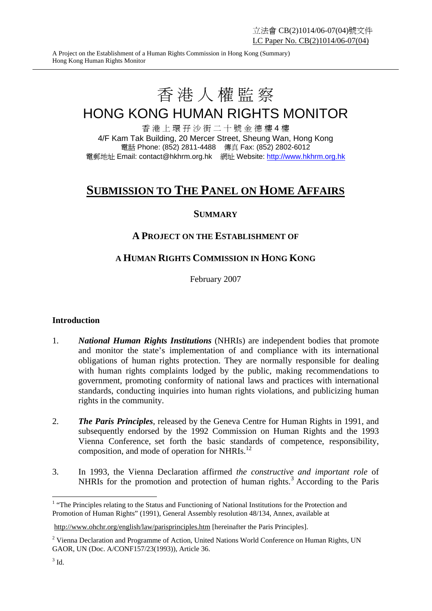A Project on the Establishment of a Human Rights Commission in Hong Kong (Summary) Hong Kong Human Rights Monitor

# 香港人權監察

## HONG KONG HUMAN RIGHTS MONITOR

香 港 上 環 孖 沙 街 二 十 號 金 德 樓 4 樓 4/F Kam Tak Building, 20 Mercer Street, Sheung Wan, Hong Kong 電話 Phone: (852) 2811-4488 傳真 Fax: (852) 2802-6012 電郵地址 Email: contact@hkhrm.org.hk 網址 Website: http://www.hkhrm.org.hk

### **SUBMISSION TO THE PANEL ON HOME AFFAIRS**

#### **SUMMARY**

#### **A PROJECT ON THE ESTABLISHMENT OF**

#### **A HUMAN RIGHTS COMMISSION IN HONG KONG**

February 2007

#### **Introduction**

- 1. *National Human Rights Institutions* (NHRIs) are independent bodies that promote and monitor the state's implementation of and compliance with its international obligations of human rights protection. They are normally responsible for dealing with human rights complaints lodged by the public, making recommendations to government, promoting conformity of national laws and practices with international standards, conducting inquiries into human rights violations, and publicizing human rights in the community.
- 2. *The Paris Principles*, released by the Geneva Centre for Human Rights in 1991, and subsequently endorsed by the 1992 Commission on Human Rights and the 1993 Vienna Conference, set forth the basic standards of competence, responsibility, composition, and mode of operation for NHRIs.12
- 3. In 1993, the Vienna Declaration affirmed *the constructive and important role* of NHRIs for the promotion and protection of human rights.<sup>3</sup> According to the Paris

<sup>&</sup>lt;sup>1</sup> "The Principles relating to the Status and Functioning of National Institutions for the Protection and Promotion of Human Rights" (1991), General Assembly resolution 48/134, Annex, available at

http://www.ohchr.org/english/law/parisprinciples.htm [hereinafter the Paris Principles].

<sup>&</sup>lt;sup>2</sup> Vienna Declaration and Programme of Action, United Nations World Conference on Human Rights, UN GAOR, UN (Doc. A/CONF157/23(1993)), Article 36.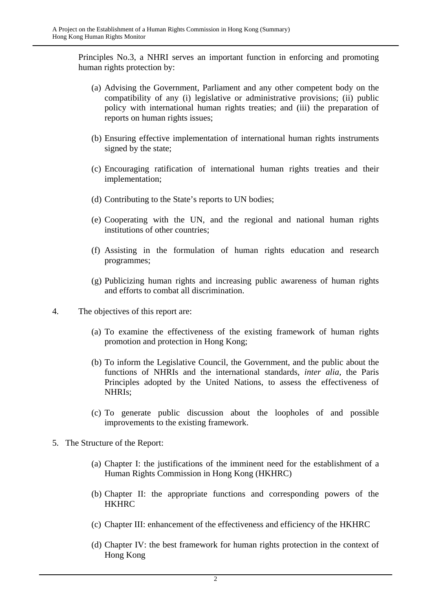Principles No.3, a NHRI serves an important function in enforcing and promoting human rights protection by:

- (a) Advising the Government, Parliament and any other competent body on the compatibility of any (i) legislative or administrative provisions; (ii) public policy with international human rights treaties; and (iii) the preparation of reports on human rights issues;
- (b) Ensuring effective implementation of international human rights instruments signed by the state;
- (c) Encouraging ratification of international human rights treaties and their implementation;
- (d) Contributing to the State's reports to UN bodies;
- (e) Cooperating with the UN, and the regional and national human rights institutions of other countries;
- (f) Assisting in the formulation of human rights education and research programmes;
- (g) Publicizing human rights and increasing public awareness of human rights and efforts to combat all discrimination.
- 4. The objectives of this report are:
	- (a) To examine the effectiveness of the existing framework of human rights promotion and protection in Hong Kong;
	- (b) To inform the Legislative Council, the Government, and the public about the functions of NHRIs and the international standards, *inter alia*, the Paris Principles adopted by the United Nations, to assess the effectiveness of NHRIs;
	- (c) To generate public discussion about the loopholes of and possible improvements to the existing framework.
- 5. The Structure of the Report:
	- (a) Chapter I: the justifications of the imminent need for the establishment of a Human Rights Commission in Hong Kong (HKHRC)
	- (b) Chapter II: the appropriate functions and corresponding powers of the **HKHRC**
	- (c) Chapter III: enhancement of the effectiveness and efficiency of the HKHRC
	- (d) Chapter IV: the best framework for human rights protection in the context of Hong Kong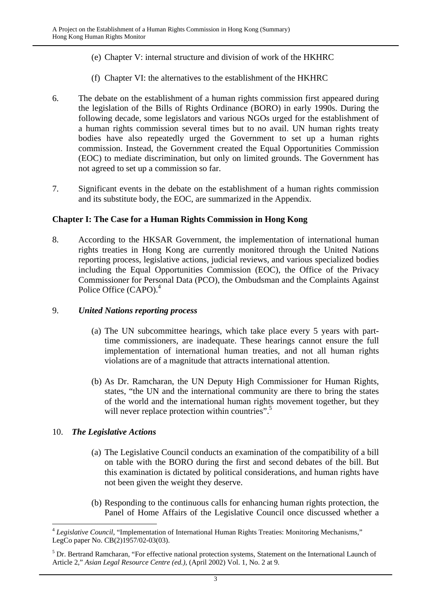- (e) Chapter V: internal structure and division of work of the HKHRC
- (f) Chapter VI: the alternatives to the establishment of the HKHRC
- 6. The debate on the establishment of a human rights commission first appeared during the legislation of the Bills of Rights Ordinance (BORO) in early 1990s. During the following decade, some legislators and various NGOs urged for the establishment of a human rights commission several times but to no avail. UN human rights treaty bodies have also repeatedly urged the Government to set up a human rights commission. Instead, the Government created the Equal Opportunities Commission (EOC) to mediate discrimination, but only on limited grounds. The Government has not agreed to set up a commission so far.
- 7. Significant events in the debate on the establishment of a human rights commission and its substitute body, the EOC, are summarized in the Appendix.

#### **Chapter I: The Case for a Human Rights Commission in Hong Kong**

8. According to the HKSAR Government, the implementation of international human rights treaties in Hong Kong are currently monitored through the United Nations reporting process, legislative actions, judicial reviews, and various specialized bodies including the Equal Opportunities Commission (EOC), the Office of the Privacy Commissioner for Personal Data (PCO), the Ombudsman and the Complaints Against Police Office (CAPO).<sup>4</sup>

#### 9. *United Nations reporting process*

- (a) The UN subcommittee hearings, which take place every 5 years with parttime commissioners, are inadequate. These hearings cannot ensure the full implementation of international human treaties, and not all human rights violations are of a magnitude that attracts international attention.
- (b) As Dr. Ramcharan, the UN Deputy High Commissioner for Human Rights, states, "the UN and the international community are there to bring the states of the world and the international human rights movement together, but they will never replace protection within countries".<sup>5</sup>

#### 10. *The Legislative Actions*

- (a) The Legislative Council conducts an examination of the compatibility of a bill on table with the BORO during the first and second debates of the bill. But this examination is dictated by political considerations, and human rights have not been given the weight they deserve.
- (b) Responding to the continuous calls for enhancing human rights protection, the Panel of Home Affairs of the Legislative Council once discussed whether a

 $\overline{a}$ <sup>4</sup> Legislative Council, "Implementation of International Human Rights Treaties: Monitoring Mechanisms," LegCo paper No. CB(2)1957/02-03(03).

<sup>&</sup>lt;sup>5</sup> Dr. Bertrand Ramcharan, "For effective national protection systems, Statement on the International Launch of Article 2*,*" *Asian Legal Resource Centre (ed.)*, (April 2002) Vol. 1, No. 2 at 9.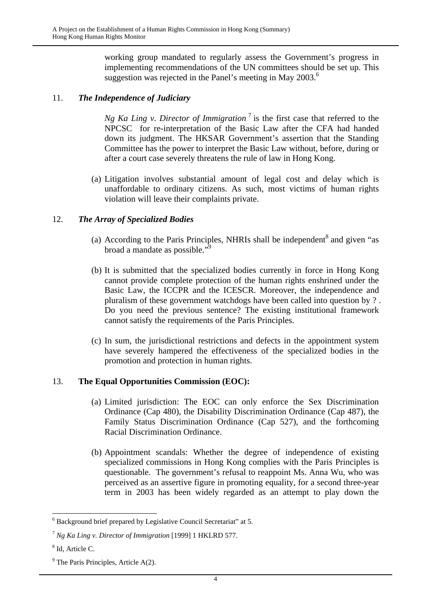working group mandated to regularly assess the Government's progress in implementing recommendations of the UN committees should be set up. This suggestion was rejected in the Panel's meeting in May 2003.<sup>6</sup>

#### 11. *The Independence of Judiciary*

*Ng Ka Ling v. Director of Immigration*  $^7$  is the first case that referred to the NPCSC for re-interpretation of the Basic Law after the CFA had handed down its judgment. The HKSAR Government's assertion that the Standing Committee has the power to interpret the Basic Law without, before, during or after a court case severely threatens the rule of law in Hong Kong.

(a) Litigation involves substantial amount of legal cost and delay which is unaffordable to ordinary citizens. As such, most victims of human rights violation will leave their complaints private.

#### 12. *The Array of Specialized Bodies*

- (a) According to the Paris Principles, NHRIs shall be independent<sup>8</sup> and given "as broad a mandate as possible."<sup>9</sup>
- (b) It is submitted that the specialized bodies currently in force in Hong Kong cannot provide complete protection of the human rights enshrined under the Basic Law, the ICCPR and the ICESCR. Moreover, the independence and pluralism of these government watchdogs have been called into question by ? . Do you need the previous sentence? The existing institutional framework cannot satisfy the requirements of the Paris Principles.
- (c) In sum, the jurisdictional restrictions and defects in the appointment system have severely hampered the effectiveness of the specialized bodies in the promotion and protection in human rights.

#### 13. **The Equal Opportunities Commission (EOC):**

- (a) Limited jurisdiction: The EOC can only enforce the Sex Discrimination Ordinance (Cap 480), the Disability Discrimination Ordinance (Cap 487), the Family Status Discrimination Ordinance (Cap 527), and the forthcoming Racial Discrimination Ordinance.
- (b) Appointment scandals: Whether the degree of independence of existing specialized commissions in Hong Kong complies with the Paris Principles is questionable. The government's refusal to reappoint Ms. Anna Wu, who was perceived as an assertive figure in promoting equality, for a second three-year term in 2003 has been widely regarded as an attempt to play down the

 6 Background brief prepared by Legislative Council Secretariat" at 5.

<sup>7</sup> *Ng Ka Ling v. Director of Immigration* [1999] 1 HKLRD 577.

<sup>8</sup> Id, Article C.

 $9^9$  The Paris Principles, Article A(2).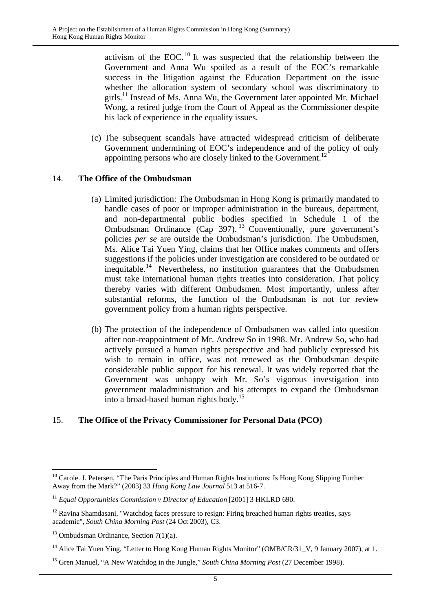activism of the EOC.10 It was suspected that the relationship between the Government and Anna Wu spoiled as a result of the EOC's remarkable success in the litigation against the Education Department on the issue whether the allocation system of secondary school was discriminatory to girls.11 Instead of Ms. Anna Wu, the Government later appointed Mr. Michael Wong, a retired judge from the Court of Appeal as the Commissioner despite his lack of experience in the equality issues.

(c) The subsequent scandals have attracted widespread criticism of deliberate Government undermining of EOC's independence and of the policy of only appointing persons who are closely linked to the Government.<sup>12</sup>

#### 14. **The Office of the Ombudsman**

- (a) Limited jurisdiction: The Ombudsman in Hong Kong is primarily mandated to handle cases of poor or improper administration in the bureaus, department, and non-departmental public bodies specified in Schedule 1 of the Ombudsman Ordinance (Cap 397). 13 Conventionally, pure government's policies *per se* are outside the Ombudsman's jurisdiction. The Ombudsmen, Ms. Alice Tai Yuen Ying, claims that her Office makes comments and offers suggestions if the policies under investigation are considered to be outdated or inequitable.14 Nevertheless, no institution guarantees that the Ombudsmen must take international human rights treaties into consideration. That policy thereby varies with different Ombudsmen. Most importantly, unless after substantial reforms, the function of the Ombudsman is not for review government policy from a human rights perspective.
- (b) The protection of the independence of Ombudsmen was called into question after non-reappointment of Mr. Andrew So in 1998. Mr. Andrew So, who had actively pursued a human rights perspective and had publicly expressed his wish to remain in office, was not renewed as the Ombudsman despite considerable public support for his renewal. It was widely reported that the Government was unhappy with Mr. So's vigorous investigation into government maladministration and his attempts to expand the Ombudsman into a broad-based human rights body.15

#### 15. **The Office of the Privacy Commissioner for Personal Data (PCO)**

<sup>&</sup>lt;sup>10</sup> Carole. J. Petersen, "The Paris Principles and Human Rights Institutions: Is Hong Kong Slipping Further Away from the Mark?" (2003) 33 *Hong Kong Law Journal* 513 at 516-7.

<sup>&</sup>lt;sup>11</sup> *Equal Opportunities Commission v Director of Education* [2001] 3 HKLRD 690.

 $12$  Ravina Shamdasani, "Watchdog faces pressure to resign: Firing breached human rights treaties, says academic", *South China Morning Post* (24 Oct 2003), C3.

<sup>&</sup>lt;sup>13</sup> Ombudsman Ordinance, Section  $7(1)(a)$ .

<sup>&</sup>lt;sup>14</sup> Alice Tai Yuen Ying, "Letter to Hong Kong Human Rights Monitor" (OMB/CR/31\_V, 9 January 2007), at 1.

<sup>15</sup> Gren Manuel, "A New Watchdog in the Jungle," *South China Morning Post* (27 December 1998).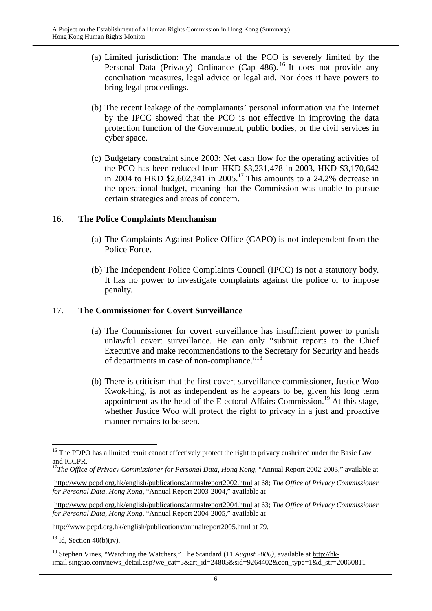- (a) Limited jurisdiction: The mandate of the PCO is severely limited by the Personal Data (Privacy) Ordinance (Cap 486).<sup>16</sup> It does not provide any conciliation measures, legal advice or legal aid. Nor does it have powers to bring legal proceedings.
- (b) The recent leakage of the complainants' personal information via the Internet by the IPCC showed that the PCO is not effective in improving the data protection function of the Government, public bodies, or the civil services in cyber space.
- (c) Budgetary constraint since 2003: Net cash flow for the operating activities of the PCO has been reduced from HKD \$3,231,478 in 2003, HKD \$3,170,642 in 2004 to HKD \$2,602,341 in 2005.<sup>17</sup> This amounts to a 24.2% decrease in the operational budget, meaning that the Commission was unable to pursue certain strategies and areas of concern.

#### 16. **The Police Complaints Menchanism**

- (a) The Complaints Against Police Office (CAPO) is not independent from the Police Force.
- (b) The Independent Police Complaints Council (IPCC) is not a statutory body. It has no power to investigate complaints against the police or to impose penalty.

#### 17. **The Commissioner for Covert Surveillance**

- (a) The Commissioner for covert surveillance has insufficient power to punish unlawful covert surveillance. He can only "submit reports to the Chief Executive and make recommendations to the Secretary for Security and heads of departments in case of non-compliance."18
- (b) There is criticism that the first covert surveillance commissioner, Justice Woo Kwok-hing, is not as independent as he appears to be, given his long term appointment as the head of the Electoral Affairs Commission.<sup>19</sup> At this stage, whether Justice Woo will protect the right to privacy in a just and proactive manner remains to be seen.

http://www.pcpd.org.hk/english/publications/annualreport2005.html at 79.

 $18$  Id, Section 40(b)(iv).

 $\overline{a}$ <sup>16</sup> The PDPO has a limited remit cannot effectively protect the right to privacy enshrined under the Basic Law and ICCPR.

<sup>&</sup>lt;sup>17</sup>The Office of Privacy Commissioner for Personal Data, Hong Kong, "Annual Report 2002-2003," available at

http://www.pcpd.org.hk/english/publications/annualreport2002.html at 68; *The Office of Privacy Commissioner for Personal Data, Hong Kong*, "Annual Report 2003-2004," available at

http://www.pcpd.org.hk/english/publications/annualreport2004.html at 63; *The Office of Privacy Commissioner for Personal Data, Hong Kong*, "Annual Report 2004-2005," available at

<sup>&</sup>lt;sup>19</sup> Stephen Vines, "Watching the Watchers," The Standard (11 *August 2006*), available at http://hkimail.singtao.com/news\_detail.asp?we\_cat=5&art\_id=24805&sid=9264402&con\_type=1&d\_str=20060811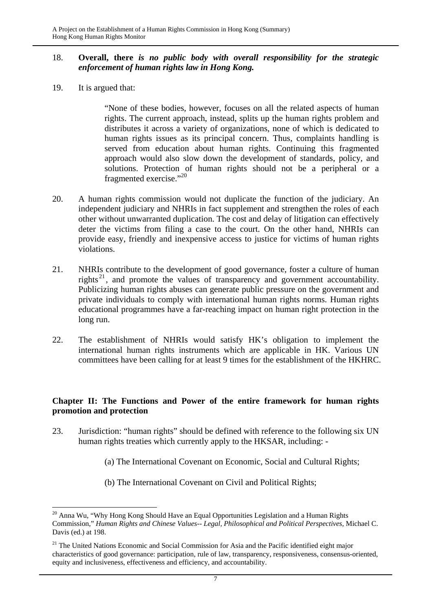#### 18. **Overall, there** *is no public body with overall responsibility for the strategic enforcement of human rights law in Hong Kong.*

19. It is argued that:

"None of these bodies, however, focuses on all the related aspects of human rights. The current approach, instead, splits up the human rights problem and distributes it across a variety of organizations, none of which is dedicated to human rights issues as its principal concern. Thus, complaints handling is served from education about human rights. Continuing this fragmented approach would also slow down the development of standards, policy, and solutions. Protection of human rights should not be a peripheral or a fragmented exercise."20

- 20. A human rights commission would not duplicate the function of the judiciary. An independent judiciary and NHRIs in fact supplement and strengthen the roles of each other without unwarranted duplication. The cost and delay of litigation can effectively deter the victims from filing a case to the court. On the other hand, NHRIs can provide easy, friendly and inexpensive access to justice for victims of human rights violations.
- 21. NHRIs contribute to the development of good governance, foster a culture of human rights<sup>21</sup>, and promote the values of transparency and government accountability. Publicizing human rights abuses can generate public pressure on the government and private individuals to comply with international human rights norms. Human rights educational programmes have a far-reaching impact on human right protection in the long run.
- 22. The establishment of NHRIs would satisfy HK's obligation to implement the international human rights instruments which are applicable in HK. Various UN committees have been calling for at least 9 times for the establishment of the HKHRC.

#### **Chapter II: The Functions and Power of the entire framework for human rights promotion and protection**

- 23. Jurisdiction: "human rights" should be defined with reference to the following six UN human rights treaties which currently apply to the HKSAR, including: -
	- (a) The International Covenant on Economic, Social and Cultural Rights;
	- (b) The International Covenant on Civil and Political Rights;

 $\overline{a}$  $20$  Anna Wu, "Why Hong Kong Should Have an Equal Opportunities Legislation and a Human Rights Commission," *Human Rights and Chinese Values-- Legal, Philosophical and Political Perspectives*, Michael C. Davis (ed.) at 198.

<sup>&</sup>lt;sup>21</sup> The United Nations Economic and Social Commission for Asia and the Pacific identified eight major characteristics of good governance: participation, rule of law, transparency, responsiveness, consensus-oriented, equity and inclusiveness, effectiveness and efficiency, and accountability.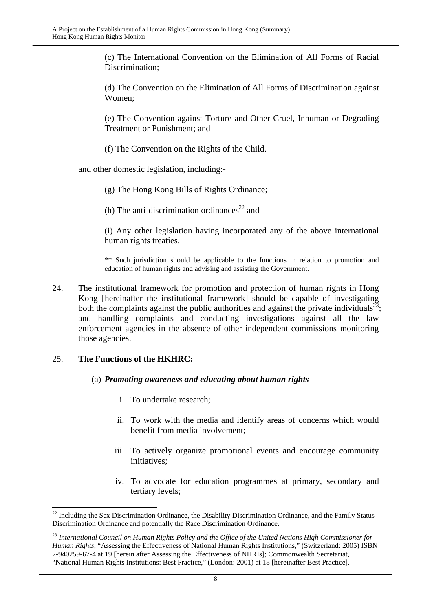(c) The International Convention on the Elimination of All Forms of Racial Discrimination;

 (d) The Convention on the Elimination of All Forms of Discrimination against Women;

 (e) The Convention against Torture and Other Cruel, Inhuman or Degrading Treatment or Punishment; and

(f) The Convention on the Rights of the Child.

and other domestic legislation, including:-

- (g) The Hong Kong Bills of Rights Ordinance;
- (h) The anti-discrimination ordinances<sup>22</sup> and

 (i) Any other legislation having incorporated any of the above international human rights treaties.

\*\* Such jurisdiction should be applicable to the functions in relation to promotion and education of human rights and advising and assisting the Government.

24. The institutional framework for promotion and protection of human rights in Hong Kong [hereinafter the institutional framework] should be capable of investigating both the complaints against the public authorities and against the private individuals<sup>23</sup>; and handling complaints and conducting investigations against all the law enforcement agencies in the absence of other independent commissions monitoring those agencies.

#### 25. **The Functions of the HKHRC:**

 $\overline{a}$ 

#### (a) *Promoting awareness and educating about human rights*

- i. To undertake research;
- ii. To work with the media and identify areas of concerns which would benefit from media involvement;
- iii. To actively organize promotional events and encourage community initiatives;
- iv. To advocate for education programmes at primary, secondary and tertiary levels;

 $22$  Including the Sex Discrimination Ordinance, the Disability Discrimination Ordinance, and the Family Status Discrimination Ordinance and potentially the Race Discrimination Ordinance.

<sup>23</sup> *International Council on Human Rights Policy and the Office of the United Nations High Commissioner for Human Rights*, "Assessing the Effectiveness of National Human Rights Institutions," (Switzerland: 2005) ISBN 2-940259-67-4 at 19 [herein after Assessing the Effectiveness of NHRIs]; Commonwealth Secretariat, "National Human Rights Institutions: Best Practice," (London: 2001) at 18 [hereinafter Best Practice].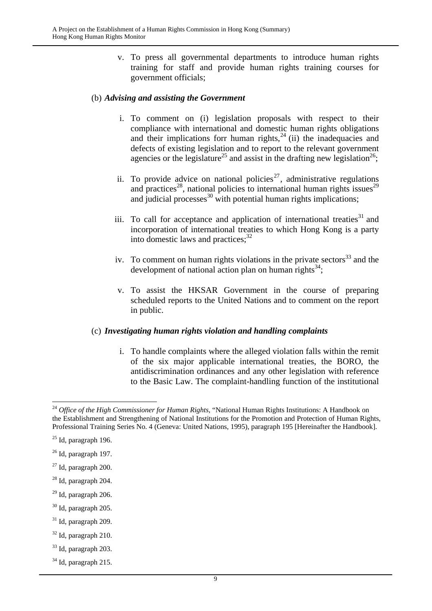v. To press all governmental departments to introduce human rights training for staff and provide human rights training courses for government officials;

#### (b) *Advising and assisting the Government*

- i. To comment on (i) legislation proposals with respect to their compliance with international and domestic human rights obligations and their implications forr human rights, $24$  (ii) the inadequacies and defects of existing legislation and to report to the relevant government agencies or the legislature<sup>25</sup> and assist in the drafting new legislation<sup>26</sup>;
- ii. To provide advice on national policies<sup>27</sup>, administrative regulations and practices<sup>28</sup>, national policies to international human rights issues<sup>29</sup> and procusses  $\frac{30}{20}$  with potential human rights implications;
- iii. To call for acceptance and application of international treaties<sup>31</sup> and incorporation of international treaties to which Hong Kong is a party into domestic laws and practices;  $32$
- iv. To comment on human rights violations in the private sectors  $33$  and the development of national action plan on human rights $^{34}$ :
- v. To assist the HKSAR Government in the course of preparing scheduled reports to the United Nations and to comment on the report in public.

#### (c) *Investigating human rights violation and handling complaints*

i. To handle complaints where the alleged violation falls within the remit of the six major applicable international treaties, the BORO, the antidiscrimination ordinances and any other legislation with reference to the Basic Law. The complaint-handling function of the institutional

- 30 Id, paragraph 205.
- $31$  Id, paragraph 209.
- $32$  Id, paragraph 210.
- 33 Id, paragraph 203.
- $34$  Id, paragraph 215.

<sup>24</sup> *Office of the High Commissioner for Human Rights*, "National Human Rights Institutions: A Handbook on the Establishment and Strengthening of National Institutions for the Promotion and Protection of Human Rights, Professional Training Series No. 4 (Geneva: United Nations, 1995), paragraph 195 [Hereinafter the Handbook].

 $25$  Id, paragraph 196.

 $26$  Id, paragraph 197.

 $27$  Id, paragraph 200.

<sup>28</sup> Id, paragraph 204.

 $29$  Id, paragraph 206.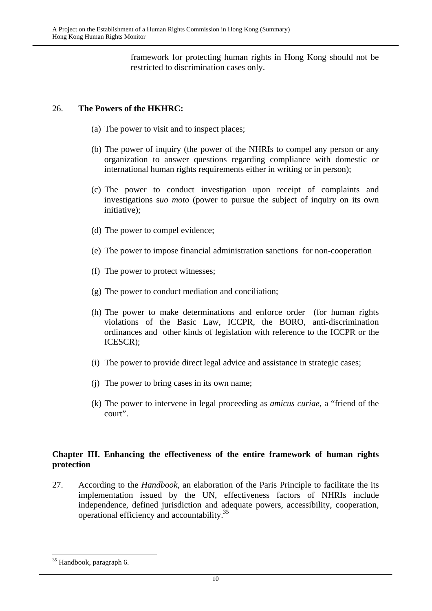framework for protecting human rights in Hong Kong should not be restricted to discrimination cases only.

#### 26. **The Powers of the HKHRC:**

- (a) The power to visit and to inspect places;
- (b) The power of inquiry (the power of the NHRIs to compel any person or any organization to answer questions regarding compliance with domestic or international human rights requirements either in writing or in person);
- (c) The power to conduct investigation upon receipt of complaints and investigations s*uo moto* (power to pursue the subject of inquiry on its own initiative);
- (d) The power to compel evidence;
- (e) The power to impose financial administration sanctions for non-cooperation
- (f) The power to protect witnesses;
- (g) The power to conduct mediation and conciliation;
- (h) The power to make determinations and enforce order (for human rights violations of the Basic Law, ICCPR, the BORO, anti-discrimination ordinances and other kinds of legislation with reference to the ICCPR or the ICESCR);
- (i) The power to provide direct legal advice and assistance in strategic cases;
- (j) The power to bring cases in its own name;
- (k) The power to intervene in legal proceeding as *amicus curiae*, a "friend of the court".

#### **Chapter III. Enhancing the effectiveness of the entire framework of human rights protection**

27. According to the *Handbook*, an elaboration of the Paris Principle to facilitate the its implementation issued by the UN, effectiveness factors of NHRIs include independence, defined jurisdiction and adequate powers, accessibility, cooperation, operational efficiency and accountability.35

<sup>35</sup> Handbook, paragraph 6.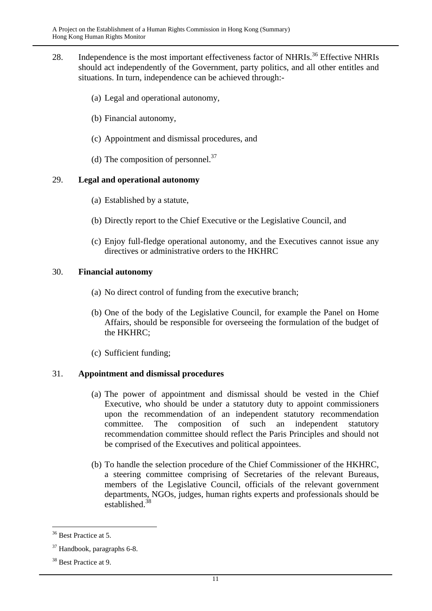- 28. Independence is the most important effectiveness factor of NHRIs.<sup>36</sup> Effective NHRIs should act independently of the Government, party politics, and all other entitles and situations. In turn, independence can be achieved through:-
	- (a) Legal and operational autonomy,
	- (b) Financial autonomy,
	- (c) Appointment and dismissal procedures, and
	- (d) The composition of personnel. $^{37}$

#### 29. **Legal and operational autonomy**

- (a) Established by a statute,
- (b) Directly report to the Chief Executive or the Legislative Council, and
- (c) Enjoy full-fledge operational autonomy, and the Executives cannot issue any directives or administrative orders to the HKHRC

#### 30. **Financial autonomy**

- (a) No direct control of funding from the executive branch;
- (b) One of the body of the Legislative Council, for example the Panel on Home Affairs, should be responsible for overseeing the formulation of the budget of the HKHRC;
- (c) Sufficient funding;

#### 31. **Appointment and dismissal procedures**

- (a) The power of appointment and dismissal should be vested in the Chief Executive, who should be under a statutory duty to appoint commissioners upon the recommendation of an independent statutory recommendation committee. The composition of such an independent statutory recommendation committee should reflect the Paris Principles and should not be comprised of the Executives and political appointees.
- (b) To handle the selection procedure of the Chief Commissioner of the HKHRC, a steering committee comprising of Secretaries of the relevant Bureaus, members of the Legislative Council, officials of the relevant government departments, NGOs, judges, human rights experts and professionals should be established.38

<sup>&</sup>lt;sup>36</sup> Best Practice at 5.

<sup>37</sup> Handbook, paragraphs 6-8.

<sup>&</sup>lt;sup>38</sup> Best Practice at 9.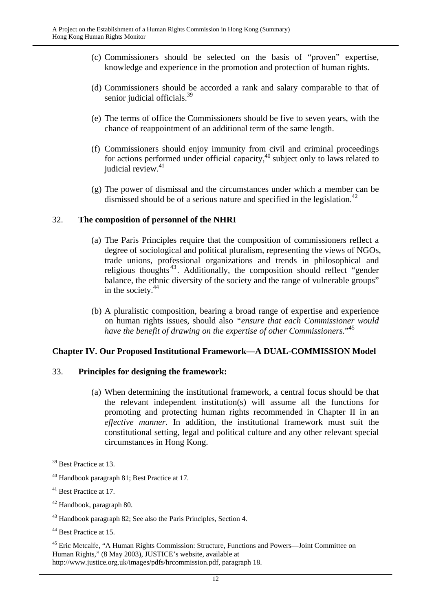- (c) Commissioners should be selected on the basis of "proven" expertise, knowledge and experience in the promotion and protection of human rights.
- (d) Commissioners should be accorded a rank and salary comparable to that of senior judicial officials.<sup>39</sup>
- (e) The terms of office the Commissioners should be five to seven years, with the chance of reappointment of an additional term of the same length.
- (f) Commissioners should enjoy immunity from civil and criminal proceedings for actions performed under official capacity,<sup>40</sup> subject only to laws related to judicial review. $41$
- (g) The power of dismissal and the circumstances under which a member can be dismissed should be of a serious nature and specified in the legislation.<sup>42</sup>

#### 32. **The composition of personnel of the NHRI**

- (a) The Paris Principles require that the composition of commissioners reflect a degree of sociological and political pluralism, representing the views of NGOs, trade unions, professional organizations and trends in philosophical and religious thoughts<sup>43</sup>. Additionally, the composition should reflect "gender" balance, the ethnic diversity of the society and the range of vulnerable groups" in the society. $44$
- (b) A pluralistic composition, bearing a broad range of expertise and experience on human rights issues, should also *"ensure that each Commissioner would have the benefit of drawing on the expertise of other Commissioners.*" 45

#### **Chapter IV. Our Proposed Institutional Framework—A DUAL-COMMISSION Model**

#### 33. **Principles for designing the framework:**

(a) When determining the institutional framework, a central focus should be that the relevant independent institution(s) will assume all the functions for promoting and protecting human rights recommended in Chapter II in an *effective manner*. In addition, the institutional framework must suit the constitutional setting, legal and political culture and any other relevant special circumstances in Hong Kong.

<sup>&</sup>lt;sup>39</sup> Best Practice at 13.

<sup>40</sup> Handbook paragraph 81; Best Practice at 17.

<sup>&</sup>lt;sup>41</sup> Best Practice at 17.

<sup>42</sup> Handbook, paragraph 80.

<sup>&</sup>lt;sup>43</sup> Handbook paragraph 82; See also the Paris Principles, Section 4.

<sup>&</sup>lt;sup>44</sup> Best Practice at 15.

<sup>45</sup> Eric Metcalfe, "A Human Rights Commission: Structure, Functions and Powers—Joint Committee on Human Rights," (8 May 2003), JUSTICE's website, available at http://www.justice.org.uk/images/pdfs/hrcommission.pdf, paragraph 18.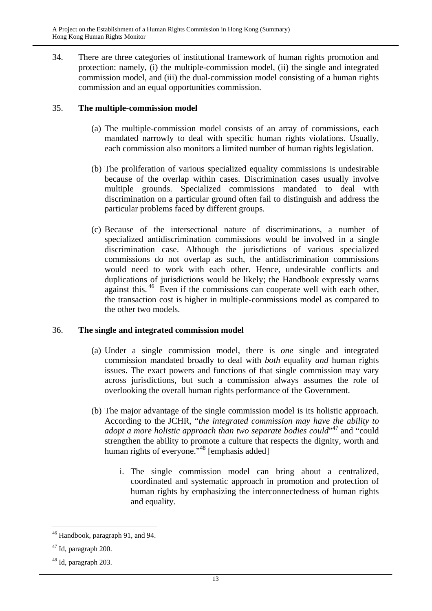34. There are three categories of institutional framework of human rights promotion and protection: namely, (i) the multiple-commission model, (ii) the single and integrated commission model, and (iii) the dual-commission model consisting of a human rights commission and an equal opportunities commission.

#### 35. **The multiple-commission model**

- (a) The multiple-commission model consists of an array of commissions, each mandated narrowly to deal with specific human rights violations. Usually, each commission also monitors a limited number of human rights legislation.
- (b) The proliferation of various specialized equality commissions is undesirable because of the overlap within cases. Discrimination cases usually involve multiple grounds. Specialized commissions mandated to deal with discrimination on a particular ground often fail to distinguish and address the particular problems faced by different groups.
- (c) Because of the intersectional nature of discriminations, a number of specialized antidiscrimination commissions would be involved in a single discrimination case. Although the jurisdictions of various specialized commissions do not overlap as such, the antidiscrimination commissions would need to work with each other. Hence, undesirable conflicts and duplications of jurisdictions would be likely; the Handbook expressly warns against this.<sup>46</sup> Even if the commissions can cooperate well with each other, the transaction cost is higher in multiple-commissions model as compared to the other two models.

#### 36. **The single and integrated commission model**

- (a) Under a single commission model, there is *one* single and integrated commission mandated broadly to deal with *both* equality *and* human rights issues. The exact powers and functions of that single commission may vary across jurisdictions, but such a commission always assumes the role of overlooking the overall human rights performance of the Government.
- (b) The major advantage of the single commission model is its holistic approach. According to the JCHR, "*the integrated commission may have the ability to*  adopt a more holistic approach than two separate bodies could<sup>,47</sup> and "could" strengthen the ability to promote a culture that respects the dignity, worth and human rights of everyone."<sup>48</sup> [emphasis added]
	- i. The single commission model can bring about a centralized, coordinated and systematic approach in promotion and protection of human rights by emphasizing the interconnectedness of human rights and equality.

 $\overline{a}$ 46 Handbook, paragraph 91, and 94.

 $47$  Id, paragraph 200.

<sup>48</sup> Id, paragraph 203.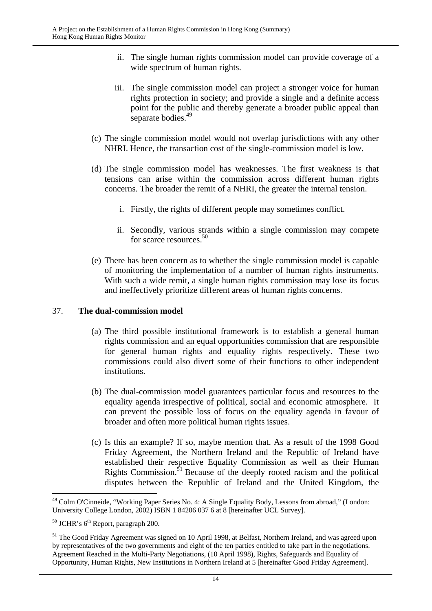- ii. The single human rights commission model can provide coverage of a wide spectrum of human rights.
- iii. The single commission model can project a stronger voice for human rights protection in society; and provide a single and a definite access point for the public and thereby generate a broader public appeal than separate bodies.<sup>49</sup>
- (c) The single commission model would not overlap jurisdictions with any other NHRI. Hence, the transaction cost of the single-commission model is low.
- (d) The single commission model has weaknesses. The first weakness is that tensions can arise within the commission across different human rights concerns. The broader the remit of a NHRI, the greater the internal tension.
	- i. Firstly, the rights of different people may sometimes conflict.
	- ii. Secondly, various strands within a single commission may compete for scarce resources.50
- (e) There has been concern as to whether the single commission model is capable of monitoring the implementation of a number of human rights instruments. With such a wide remit, a single human rights commission may lose its focus and ineffectively prioritize different areas of human rights concerns.

#### 37. **The dual-commission model**

- (a) The third possible institutional framework is to establish a general human rights commission and an equal opportunities commission that are responsible for general human rights and equality rights respectively. These two commissions could also divert some of their functions to other independent institutions.
- (b) The dual-commission model guarantees particular focus and resources to the equality agenda irrespective of political, social and economic atmosphere. It can prevent the possible loss of focus on the equality agenda in favour of broader and often more political human rights issues.
- (c) Is this an example? If so, maybe mention that. As a result of the 1998 Good Friday Agreement, the Northern Ireland and the Republic of Ireland have established their respective Equality Commission as well as their Human Rights Commission. $51$  Because of the deeply rooted racism and the political disputes between the Republic of Ireland and the United Kingdom, the

 $\overline{a}$ 49 Colm O'Cinneide, "Working Paper Series No. 4: A Single Equality Body, Lessons from abroad," (London: University College London, 2002) ISBN 1 84206 037 6 at 8 [hereinafter UCL Survey].

 $50$  JCHR's  $6<sup>th</sup>$  Report, paragraph 200.

<sup>&</sup>lt;sup>51</sup> The Good Friday Agreement was signed on 10 April 1998, at Belfast, Northern Ireland, and was agreed upon by representatives of the two governments and eight of the ten parties entitled to take part in the negotiations. Agreement Reached in the Multi-Party Negotiations, (10 April 1998), Rights, Safeguards and Equality of Opportunity, Human Rights, New Institutions in Northern Ireland at 5 [hereinafter Good Friday Agreement].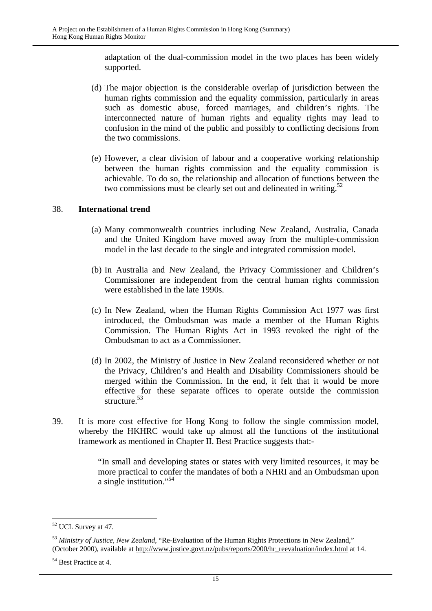adaptation of the dual-commission model in the two places has been widely supported.

- (d) The major objection is the considerable overlap of jurisdiction between the human rights commission and the equality commission, particularly in areas such as domestic abuse, forced marriages, and children's rights. The interconnected nature of human rights and equality rights may lead to confusion in the mind of the public and possibly to conflicting decisions from the two commissions.
- (e) However, a clear division of labour and a cooperative working relationship between the human rights commission and the equality commission is achievable. To do so, the relationship and allocation of functions between the two commissions must be clearly set out and delineated in writing.<sup>52</sup>

#### 38. **International trend**

- (a) Many commonwealth countries including New Zealand, Australia, Canada and the United Kingdom have moved away from the multiple-commission model in the last decade to the single and integrated commission model.
- (b) In Australia and New Zealand, the Privacy Commissioner and Children's Commissioner are independent from the central human rights commission were established in the late 1990s.
- (c) In New Zealand, when the Human Rights Commission Act 1977 was first introduced, the Ombudsman was made a member of the Human Rights Commission. The Human Rights Act in 1993 revoked the right of the Ombudsman to act as a Commissioner.
- (d) In 2002, the Ministry of Justice in New Zealand reconsidered whether or not the Privacy, Children's and Health and Disability Commissioners should be merged within the Commission. In the end, it felt that it would be more effective for these separate offices to operate outside the commission structure.<sup>53</sup>
- 39. It is more cost effective for Hong Kong to follow the single commission model, whereby the HKHRC would take up almost all the functions of the institutional framework as mentioned in Chapter II. Best Practice suggests that:-

"In small and developing states or states with very limited resources, it may be more practical to confer the mandates of both a NHRI and an Ombudsman upon a single institution."54

<sup>52</sup> UCL Survey at 47.

<sup>53</sup> *Ministry of Justice, New Zealand*, "Re-Evaluation of the Human Rights Protections in New Zealand," (October 2000), available at http://www.justice.govt.nz/pubs/reports/2000/hr\_reevaluation/index.html at 14.

<sup>54</sup> Best Practice at 4.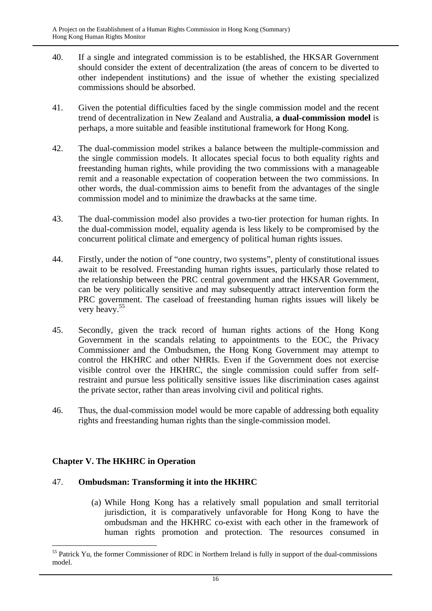- 40. If a single and integrated commission is to be established, the HKSAR Government should consider the extent of decentralization (the areas of concern to be diverted to other independent institutions) and the issue of whether the existing specialized commissions should be absorbed.
- 41. Given the potential difficulties faced by the single commission model and the recent trend of decentralization in New Zealand and Australia, **a dual-commission model** is perhaps, a more suitable and feasible institutional framework for Hong Kong.
- 42. The dual-commission model strikes a balance between the multiple-commission and the single commission models. It allocates special focus to both equality rights and freestanding human rights, while providing the two commissions with a manageable remit and a reasonable expectation of cooperation between the two commissions. In other words, the dual-commission aims to benefit from the advantages of the single commission model and to minimize the drawbacks at the same time.
- 43. The dual-commission model also provides a two-tier protection for human rights. In the dual-commission model, equality agenda is less likely to be compromised by the concurrent political climate and emergency of political human rights issues.
- 44. Firstly, under the notion of "one country, two systems", plenty of constitutional issues await to be resolved. Freestanding human rights issues, particularly those related to the relationship between the PRC central government and the HKSAR Government, can be very politically sensitive and may subsequently attract intervention form the PRC government. The caseload of freestanding human rights issues will likely be very heavy.<sup>55</sup>
- 45. Secondly, given the track record of human rights actions of the Hong Kong Government in the scandals relating to appointments to the EOC, the Privacy Commissioner and the Ombudsmen, the Hong Kong Government may attempt to control the HKHRC and other NHRIs. Even if the Government does not exercise visible control over the HKHRC, the single commission could suffer from selfrestraint and pursue less politically sensitive issues like discrimination cases against the private sector, rather than areas involving civil and political rights.
- 46. Thus, the dual-commission model would be more capable of addressing both equality rights and freestanding human rights than the single-commission model.

#### **Chapter V. The HKHRC in Operation**

#### 47. **Ombudsman: Transforming it into the HKHRC**

(a) While Hong Kong has a relatively small population and small territorial jurisdiction, it is comparatively unfavorable for Hong Kong to have the ombudsman and the HKHRC co-exist with each other in the framework of human rights promotion and protection. The resources consumed in

 $\overline{a}$ <sup>55</sup> Patrick Yu, the former Commissioner of RDC in Northern Ireland is fully in support of the dual-commissions model.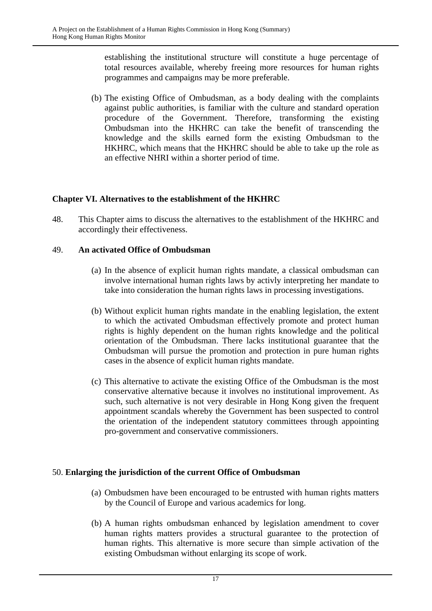establishing the institutional structure will constitute a huge percentage of total resources available, whereby freeing more resources for human rights programmes and campaigns may be more preferable.

(b) The existing Office of Ombudsman, as a body dealing with the complaints against public authorities, is familiar with the culture and standard operation procedure of the Government. Therefore, transforming the existing Ombudsman into the HKHRC can take the benefit of transcending the knowledge and the skills earned form the existing Ombudsman to the HKHRC, which means that the HKHRC should be able to take up the role as an effective NHRI within a shorter period of time.

#### **Chapter VI. Alternatives to the establishment of the HKHRC**

48. This Chapter aims to discuss the alternatives to the establishment of the HKHRC and accordingly their effectiveness.

#### 49. **An activated Office of Ombudsman**

- (a) In the absence of explicit human rights mandate, a classical ombudsman can involve international human rights laws by activly interpreting her mandate to take into consideration the human rights laws in processing investigations.
- (b) Without explicit human rights mandate in the enabling legislation, the extent to which the activated Ombudsman effectively promote and protect human rights is highly dependent on the human rights knowledge and the political orientation of the Ombudsman. There lacks institutional guarantee that the Ombudsman will pursue the promotion and protection in pure human rights cases in the absence of explicit human rights mandate.
- (c) This alternative to activate the existing Office of the Ombudsman is the most conservative alternative because it involves no institutional improvement. As such, such alternative is not very desirable in Hong Kong given the frequent appointment scandals whereby the Government has been suspected to control the orientation of the independent statutory committees through appointing pro-government and conservative commissioners.

#### 50. **Enlarging the jurisdiction of the current Office of Ombudsman**

- (a) Ombudsmen have been encouraged to be entrusted with human rights matters by the Council of Europe and various academics for long.
- (b) A human rights ombudsman enhanced by legislation amendment to cover human rights matters provides a structural guarantee to the protection of human rights. This alternative is more secure than simple activation of the existing Ombudsman without enlarging its scope of work.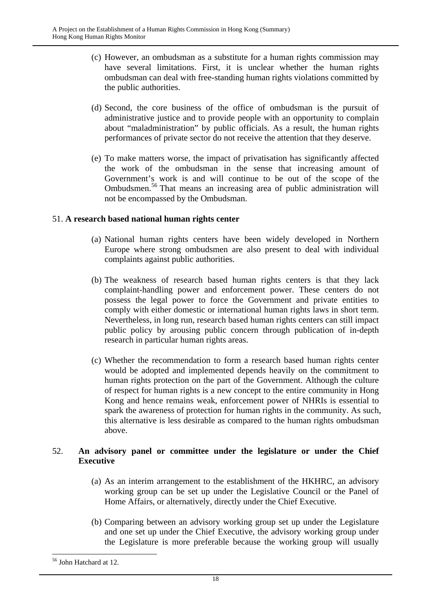- (c) However, an ombudsman as a substitute for a human rights commission may have several limitations. First, it is unclear whether the human rights ombudsman can deal with free-standing human rights violations committed by the public authorities.
- (d) Second, the core business of the office of ombudsman is the pursuit of administrative justice and to provide people with an opportunity to complain about "maladministration" by public officials. As a result, the human rights performances of private sector do not receive the attention that they deserve.
- (e) To make matters worse, the impact of privatisation has significantly affected the work of the ombudsman in the sense that increasing amount of Government's work is and will continue to be out of the scope of the Ombudsmen.56 That means an increasing area of public administration will not be encompassed by the Ombudsman.

#### 51. **A research based national human rights center**

- (a) National human rights centers have been widely developed in Northern Europe where strong ombudsmen are also present to deal with individual complaints against public authorities.
- (b) The weakness of research based human rights centers is that they lack complaint-handling power and enforcement power. These centers do not possess the legal power to force the Government and private entities to comply with either domestic or international human rights laws in short term. Nevertheless, in long run, research based human rights centers can still impact public policy by arousing public concern through publication of in-depth research in particular human rights areas.
- (c) Whether the recommendation to form a research based human rights center would be adopted and implemented depends heavily on the commitment to human rights protection on the part of the Government. Although the culture of respect for human rights is a new concept to the entire community in Hong Kong and hence remains weak, enforcement power of NHRIs is essential to spark the awareness of protection for human rights in the community. As such, this alternative is less desirable as compared to the human rights ombudsman above.

#### 52. **An advisory panel or committee under the legislature or under the Chief Executive**

- (a) As an interim arrangement to the establishment of the HKHRC, an advisory working group can be set up under the Legislative Council or the Panel of Home Affairs, or alternatively, directly under the Chief Executive.
- (b) Comparing between an advisory working group set up under the Legislature and one set up under the Chief Executive, the advisory working group under the Legislature is more preferable because the working group will usually

<sup>56</sup> John Hatchard at 12.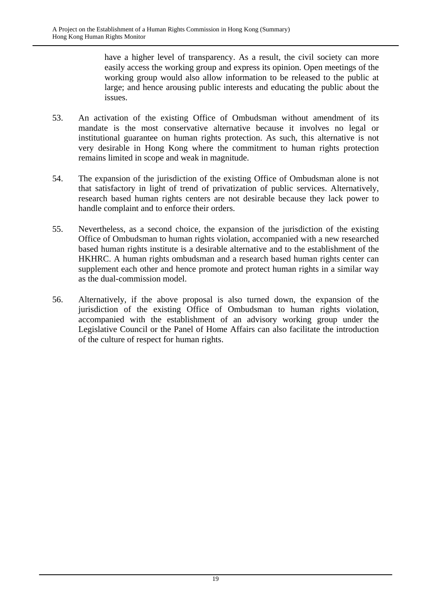have a higher level of transparency. As a result, the civil society can more easily access the working group and express its opinion. Open meetings of the working group would also allow information to be released to the public at large; and hence arousing public interests and educating the public about the issues.

- 53. An activation of the existing Office of Ombudsman without amendment of its mandate is the most conservative alternative because it involves no legal or institutional guarantee on human rights protection. As such, this alternative is not very desirable in Hong Kong where the commitment to human rights protection remains limited in scope and weak in magnitude.
- 54. The expansion of the jurisdiction of the existing Office of Ombudsman alone is not that satisfactory in light of trend of privatization of public services. Alternatively, research based human rights centers are not desirable because they lack power to handle complaint and to enforce their orders.
- 55. Nevertheless, as a second choice, the expansion of the jurisdiction of the existing Office of Ombudsman to human rights violation, accompanied with a new researched based human rights institute is a desirable alternative and to the establishment of the HKHRC. A human rights ombudsman and a research based human rights center can supplement each other and hence promote and protect human rights in a similar way as the dual-commission model.
- 56. Alternatively, if the above proposal is also turned down, the expansion of the jurisdiction of the existing Office of Ombudsman to human rights violation, accompanied with the establishment of an advisory working group under the Legislative Council or the Panel of Home Affairs can also facilitate the introduction of the culture of respect for human rights.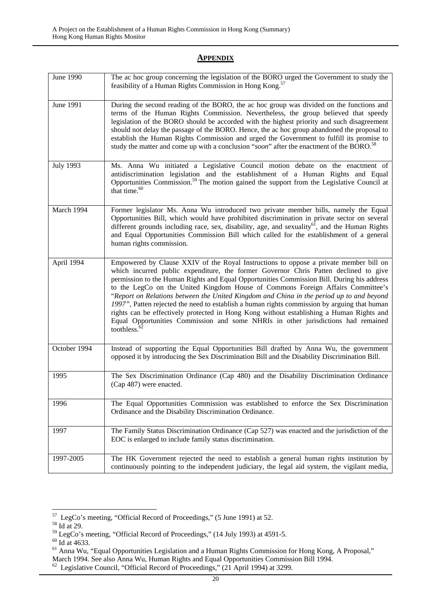#### **APPENDIX**

| <b>June 1990</b> | The ac hoc group concerning the legislation of the BORO urged the Government to study the<br>feasibility of a Human Rights Commission in Hong Kong. <sup>57</sup>                                                                                                                                                                                                                                                                                                                                                                                                                                                                                                                                                                                                      |
|------------------|------------------------------------------------------------------------------------------------------------------------------------------------------------------------------------------------------------------------------------------------------------------------------------------------------------------------------------------------------------------------------------------------------------------------------------------------------------------------------------------------------------------------------------------------------------------------------------------------------------------------------------------------------------------------------------------------------------------------------------------------------------------------|
| June 1991        | During the second reading of the BORO, the ac hoc group was divided on the functions and<br>terms of the Human Rights Commission. Nevertheless, the group believed that speedy<br>legislation of the BORO should be accorded with the highest priority and such disagreement<br>should not delay the passage of the BORO. Hence, the ac hoc group abandoned the proposal to<br>establish the Human Rights Commission and urged the Government to fulfill its promise to<br>study the matter and come up with a conclusion "soon" after the enactment of the BORO. <sup>58</sup>                                                                                                                                                                                        |
| <b>July 1993</b> | Ms. Anna Wu initiated a Legislative Council motion debate on the enactment of<br>antidiscrimination legislation and the establishment of a Human Rights and Equal<br>Opportunities Commission. <sup>59</sup> The motion gained the support from the Legislative Council at<br>that time. <sup>60</sup>                                                                                                                                                                                                                                                                                                                                                                                                                                                                 |
| March 1994       | Former legislator Ms. Anna Wu introduced two private member bills, namely the Equal<br>Opportunities Bill, which would have prohibited discrimination in private sector on several<br>different grounds including race, sex, disability, age, and sexuality $^{61}$ , and the Human Rights<br>and Equal Opportunities Commission Bill which called for the establishment of a general<br>human rights commission.                                                                                                                                                                                                                                                                                                                                                      |
| April 1994       | Empowered by Clause XXIV of the Royal Instructions to oppose a private member bill on<br>which incurred public expenditure, the former Governor Chris Patten declined to give<br>permission to the Human Rights and Equal Opportunities Commission Bill. During his address<br>to the LegCo on the United Kingdom House of Commons Foreign Affairs Committee's<br>"Report on Relations between the United Kingdom and China in the period up to and beyond<br>1997", Patten rejected the need to establish a human rights commission by arguing that human<br>rights can be effectively protected in Hong Kong without establishing a Human Rights and<br>Equal Opportunities Commission and some NHRIs in other jurisdictions had remained<br>toothless. <sup>6</sup> |
| October 1994     | Instead of supporting the Equal Opportunities Bill drafted by Anna Wu, the government<br>opposed it by introducing the Sex Discrimination Bill and the Disability Discrimination Bill.                                                                                                                                                                                                                                                                                                                                                                                                                                                                                                                                                                                 |
| 1995             | The Sex Discrimination Ordinance (Cap 480) and the Disability Discrimination Ordinance<br>(Cap 487) were enacted.                                                                                                                                                                                                                                                                                                                                                                                                                                                                                                                                                                                                                                                      |
| 1996             | The Equal Opportunities Commission was established to enforce the Sex Discrimination<br>Ordinance and the Disability Discrimination Ordinance.                                                                                                                                                                                                                                                                                                                                                                                                                                                                                                                                                                                                                         |
| 1997             | The Family Status Discrimination Ordinance (Cap 527) was enacted and the jurisdiction of the<br>EOC is enlarged to include family status discrimination.                                                                                                                                                                                                                                                                                                                                                                                                                                                                                                                                                                                                               |
| 1997-2005        | The HK Government rejected the need to establish a general human rights institution by<br>continuously pointing to the independent judiciary, the legal aid system, the vigilant media,                                                                                                                                                                                                                                                                                                                                                                                                                                                                                                                                                                                |

 $^{57}$  LegCo's meeting, "Official Record of Proceedings," (5 June 1991) at 52. Id at 29.

<sup>&</sup>lt;sup>59</sup> LegCo's meeting, "Official Record of Proceedings," (14 July 1993) at 4591-5. <sup>60</sup> Id at 4633.

<sup>&</sup>lt;sup>61</sup> Anna Wu, "Equal Opportunities Legislation and a Human Rights Commission for Hong Kong, A Proposal,"

March 1994. See also Anna Wu, Human Rights and Equal Opportunities Commission Bill 1994.

 $\frac{62}{62}$  Legislative Council, "Official Record of Proceedings," (21 April 1994) at 3299.